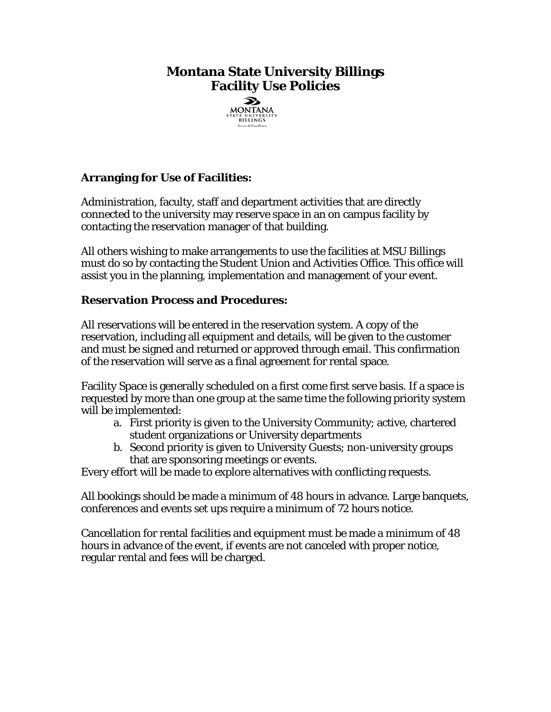# **Montana State University Billings Facility Use Policies**



## **Arranging for Use of Facilities:**

Administration, faculty, staff and department activities that are directly connected to the university may reserve space in an on campus facility by contacting the reservation manager of that building.

All others wishing to make arrangements to use the facilities at MSU Billings must do so by contacting the Student Union and Activities Office. This office will assist you in the planning, implementation and management of your event.

### **Reservation Process and Procedures:**

All reservations will be entered in the reservation system. A copy of the reservation, including all equipment and details, will be given to the customer and must be signed and returned or approved through email. This confirmation of the reservation will serve as a final agreement for rental space.

Facility Space is generally scheduled on a first come first serve basis. If a space is requested by more than one group at the same time the following priority system will be implemented:

- a. First priority is given to the University Community; active, chartered student organizations or University departments
- b. Second priority is given to University Guests; non-university groups that are sponsoring meetings or events.

Every effort will be made to explore alternatives with conflicting requests.

All bookings should be made a minimum of 48 hours in advance. Large banquets, conferences and events set ups require a minimum of 72 hours notice.

Cancellation for rental facilities and equipment must be made a minimum of 48 hours in advance of the event, if events are not canceled with proper notice, regular rental and fees will be charged.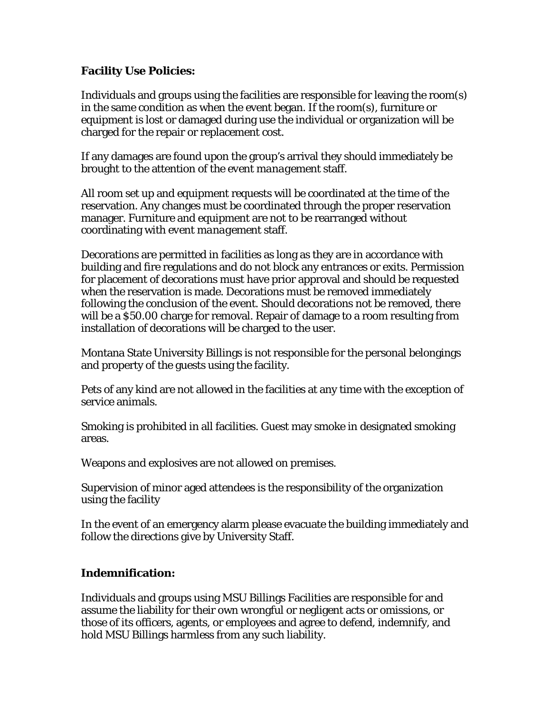### **Facility Use Policies:**

Individuals and groups using the facilities are responsible for leaving the room(s) in the same condition as when the event began. If the room(s), furniture or equipment is lost or damaged during use the individual or organization will be charged for the repair or replacement cost.

If any damages are found upon the group's arrival they should immediately be brought to the attention of the *event management* staff.

All room set up and equipment requests will be coordinated at the time of the reservation. Any changes must be coordinated through the proper reservation manager. Furniture and equipment are not to be rearranged without coordinating with *event management* staff.

Decorations are permitted in facilities as long as they are in accordance with building and fire regulations and do not block any entrances or exits. Permission for placement of decorations must have prior approval and should be requested when the reservation is made. Decorations must be removed immediately following the conclusion of the event. Should decorations not be removed, there will be a \$50.00 charge for removal. Repair of damage to a room resulting from installation of decorations will be charged to the user.

Montana State University Billings is not responsible for the personal belongings and property of the guests using the facility.

Pets of any kind are not allowed in the facilities at any time with the exception of service animals.

Smoking is prohibited in all facilities. Guest may smoke in designated smoking areas.

Weapons and explosives are not allowed on premises.

Supervision of minor aged attendees is the responsibility of the organization using the facility

In the event of an emergency alarm please evacuate the building immediately and follow the directions give by University Staff.

### **Indemnification:**

Individuals and groups using MSU Billings Facilities are responsible for and assume the liability for their own wrongful or negligent acts or omissions, or those of its officers, agents, or employees and agree to defend, indemnify, and hold MSU Billings harmless from any such liability.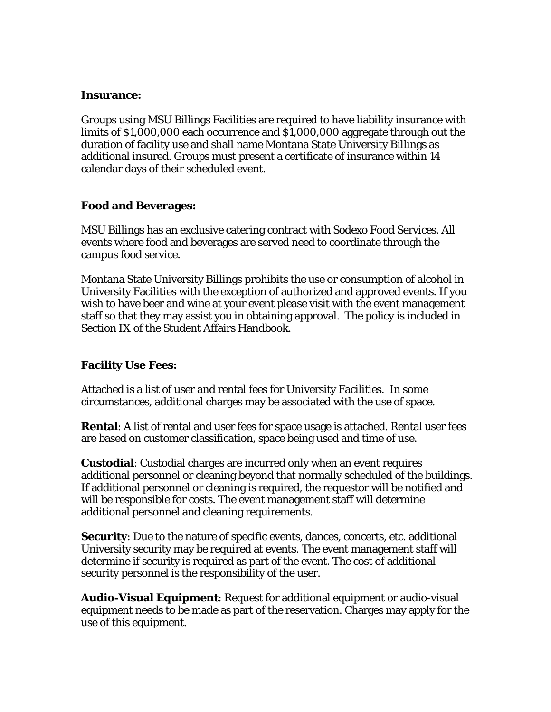#### **Insurance:**

Groups using MSU Billings Facilities are required to have liability insurance with limits of \$1,000,000 each occurrence and \$1,000,000 aggregate through out the duration of facility use and shall name Montana State University Billings as additional insured. Groups must present a certificate of insurance within 14 calendar days of their scheduled event.

#### **Food and Beverages:**

MSU Billings has an exclusive catering contract with Sodexo Food Services. All events where food and beverages are served need to coordinate through the campus food service.

Montana State University Billings prohibits the use or consumption of alcohol in University Facilities with the exception of authorized and approved events. If you wish to have beer and wine at your event please visit with the event management staff so that they may assist you in obtaining approval. The policy is included in Section IX of the Student Affairs Handbook.

### **Facility Use Fees:**

Attached is a list of user and rental fees for University Facilities. In some circumstances, additional charges may be associated with the use of space.

**Rental**: A list of rental and user fees for space usage is attached. Rental user fees are based on customer classification, space being used and time of use.

**Custodial**: Custodial charges are incurred only when an event requires additional personnel or cleaning beyond that normally scheduled of the buildings. If additional personnel or cleaning is required, the requestor will be notified and will be responsible for costs. The event management staff will determine additional personnel and cleaning requirements.

**Security**: Due to the nature of specific events, dances, concerts, etc. additional University security may be required at events. The event management staff will determine if security is required as part of the event. The cost of additional security personnel is the responsibility of the user.

**Audio-Visual Equipment**: Request for additional equipment or audio-visual equipment needs to be made as part of the reservation. Charges may apply for the use of this equipment.